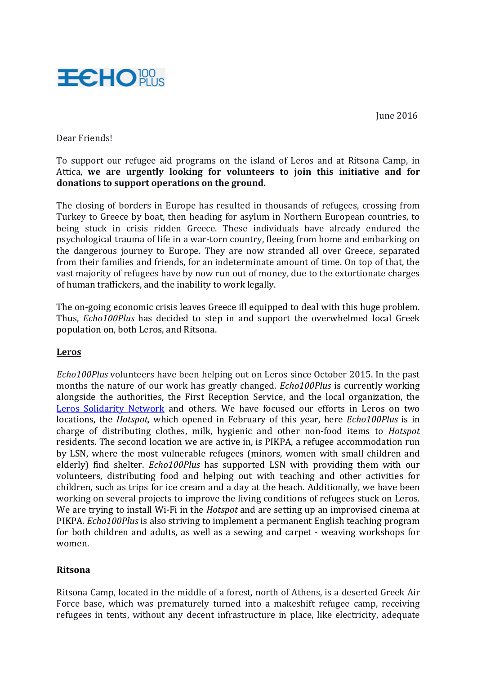June 2016



## Dear Friends!

To support our refugee aid programs on the island of Leros and at Ritsona Camp, in Attica, we are urgently looking for volunteers to join this initiative and for **donations** to support operations on the ground.

The closing of borders in Europe has resulted in thousands of refugees, crossing from Turkey to Greece by boat, then heading for asylum in Northern European countries, to being stuck in crisis ridden Greece. These individuals have already endured the psychological trauma of life in a war-torn country, fleeing from home and embarking on the dangerous journey to Europe. They are now stranded all over Greece, separated from their families and friends, for an indeterminate amount of time. On top of that, the vast majority of refugees have by now run out of money, due to the extortionate charges of human traffickers, and the inability to work legally.

The on-going economic crisis leaves Greece ill equipped to deal with this huge problem. Thus, *Echo100Plus* has decided to step in and support the overwhelmed local Greek population on, both Leros, and Ritsona.

## **Leros**

*Echo100Plus* volunteers have been helping out on Leros since October 2015. In the past months the nature of our work has greatly changed. *Echo100Plus* is currently working alongside the authorities, the First Reception Service, and the local organization, the Leros Solidarity Network and others. We have focused our efforts in Leros on two locations, the *Hotspot*, which opened in February of this year, here *Echo100Plus* is in charge of distributing clothes, milk, hygienic and other non-food items to *Hotspot* residents. The second location we are active in, is PIKPA, a refugee accommodation run by LSN, where the most vulnerable refugees (minors, women with small children and elderly) find shelter. *Echo100Plus* has supported LSN with providing them with our volunteers, distributing food and helping out with teaching and other activities for children, such as trips for ice cream and a day at the beach. Additionally, we have been working on several projects to improve the living conditions of refugees stuck on Leros. We are trying to install Wi-Fi in the *Hotspot* and are setting up an improvised cinema at PIKPA. *Echo100Plus* is also striving to implement a permanent English teaching program for both children and adults, as well as a sewing and carpet - weaving workshops for women.

## **Ritsona**

Ritsona Camp, located in the middle of a forest, north of Athens, is a deserted Greek Air Force base, which was prematurely turned into a makeshift refugee camp, receiving refugees in tents, without any decent infrastructure in place, like electricity, adequate